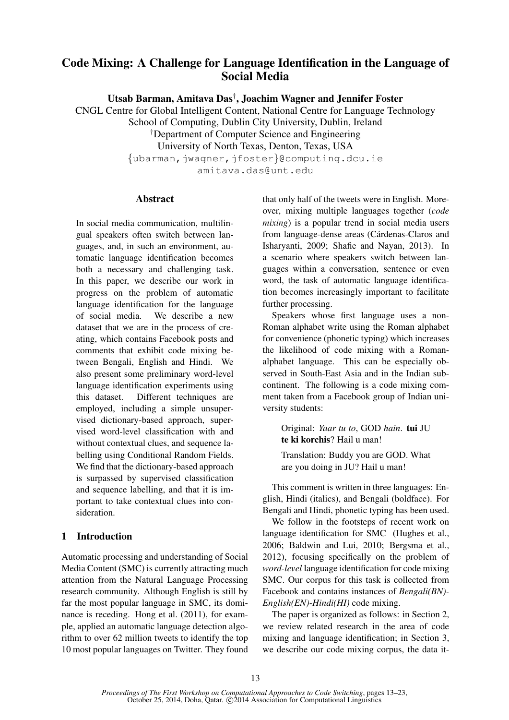# Code Mixing: A Challenge for Language Identification in the Language of Social Media

Utsab Barman, Amitava Das† , Joachim Wagner and Jennifer Foster

CNGL Centre for Global Intelligent Content, National Centre for Language Technology School of Computing, Dublin City University, Dublin, Ireland †Department of Computer Science and Engineering University of North Texas, Denton, Texas, USA {ubarman,jwagner,jfoster}@computing.dcu.ie amitava.das@unt.edu

### Abstract

In social media communication, multilingual speakers often switch between languages, and, in such an environment, automatic language identification becomes both a necessary and challenging task. In this paper, we describe our work in progress on the problem of automatic language identification for the language of social media. We describe a new dataset that we are in the process of creating, which contains Facebook posts and comments that exhibit code mixing between Bengali, English and Hindi. We also present some preliminary word-level language identification experiments using this dataset. Different techniques are employed, including a simple unsupervised dictionary-based approach, supervised word-level classification with and without contextual clues, and sequence labelling using Conditional Random Fields. We find that the dictionary-based approach is surpassed by supervised classification and sequence labelling, and that it is important to take contextual clues into consideration.

# 1 Introduction

Automatic processing and understanding of Social Media Content (SMC) is currently attracting much attention from the Natural Language Processing research community. Although English is still by far the most popular language in SMC, its dominance is receding. Hong et al. (2011), for example, applied an automatic language detection algorithm to over 62 million tweets to identify the top 10 most popular languages on Twitter. They found that only half of the tweets were in English. Moreover, mixing multiple languages together (*code mixing*) is a popular trend in social media users from language-dense areas (Cárdenas-Claros and Isharyanti, 2009; Shafie and Nayan, 2013). In a scenario where speakers switch between languages within a conversation, sentence or even word, the task of automatic language identification becomes increasingly important to facilitate further processing.

Speakers whose first language uses a non-Roman alphabet write using the Roman alphabet for convenience (phonetic typing) which increases the likelihood of code mixing with a Romanalphabet language. This can be especially observed in South-East Asia and in the Indian subcontinent. The following is a code mixing comment taken from a Facebook group of Indian university students:

> Original: *Yaar tu to*, GOD *hain*. tui JU te ki korchis? Hail u man!

> Translation: Buddy you are GOD. What are you doing in JU? Hail u man!

This comment is written in three languages: English, Hindi (italics), and Bengali (boldface). For Bengali and Hindi, phonetic typing has been used.

We follow in the footsteps of recent work on language identification for SMC (Hughes et al., 2006; Baldwin and Lui, 2010; Bergsma et al., 2012), focusing specifically on the problem of *word-level* language identification for code mixing SMC. Our corpus for this task is collected from Facebook and contains instances of *Bengali(BN)- English(EN)-Hindi(HI)* code mixing.

The paper is organized as follows: in Section 2, we review related research in the area of code mixing and language identification; in Section 3, we describe our code mixing corpus, the data it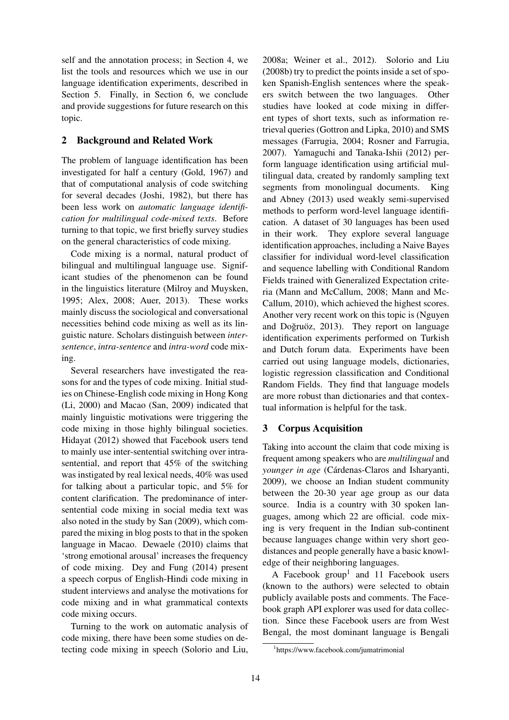self and the annotation process; in Section 4, we list the tools and resources which we use in our language identification experiments, described in Section 5. Finally, in Section 6, we conclude and provide suggestions for future research on this topic.

### 2 Background and Related Work

The problem of language identification has been investigated for half a century (Gold, 1967) and that of computational analysis of code switching for several decades (Joshi, 1982), but there has been less work on *automatic language identification for multilingual code-mixed texts*. Before turning to that topic, we first briefly survey studies on the general characteristics of code mixing.

Code mixing is a normal, natural product of bilingual and multilingual language use. Significant studies of the phenomenon can be found in the linguistics literature (Milroy and Muysken, 1995; Alex, 2008; Auer, 2013). These works mainly discuss the sociological and conversational necessities behind code mixing as well as its linguistic nature. Scholars distinguish between *intersentence*, *intra-sentence* and *intra-word* code mixing.

Several researchers have investigated the reasons for and the types of code mixing. Initial studies on Chinese-English code mixing in Hong Kong (Li, 2000) and Macao (San, 2009) indicated that mainly linguistic motivations were triggering the code mixing in those highly bilingual societies. Hidayat (2012) showed that Facebook users tend to mainly use inter-sentential switching over intrasentential, and report that 45% of the switching was instigated by real lexical needs, 40% was used for talking about a particular topic, and 5% for content clarification. The predominance of intersentential code mixing in social media text was also noted in the study by San (2009), which compared the mixing in blog posts to that in the spoken language in Macao. Dewaele (2010) claims that 'strong emotional arousal' increases the frequency of code mixing. Dey and Fung (2014) present a speech corpus of English-Hindi code mixing in student interviews and analyse the motivations for code mixing and in what grammatical contexts code mixing occurs.

Turning to the work on automatic analysis of code mixing, there have been some studies on detecting code mixing in speech (Solorio and Liu,

2008a; Weiner et al., 2012). Solorio and Liu (2008b) try to predict the points inside a set of spoken Spanish-English sentences where the speakers switch between the two languages. Other studies have looked at code mixing in different types of short texts, such as information retrieval queries (Gottron and Lipka, 2010) and SMS messages (Farrugia, 2004; Rosner and Farrugia, 2007). Yamaguchi and Tanaka-Ishii (2012) perform language identification using artificial multilingual data, created by randomly sampling text segments from monolingual documents. King and Abney (2013) used weakly semi-supervised methods to perform word-level language identification. A dataset of 30 languages has been used in their work. They explore several language identification approaches, including a Naive Bayes classifier for individual word-level classification and sequence labelling with Conditional Random Fields trained with Generalized Expectation criteria (Mann and McCallum, 2008; Mann and Mc-Callum, 2010), which achieved the highest scores. Another very recent work on this topic is (Nguyen and Doğruöz, 2013). They report on language identification experiments performed on Turkish and Dutch forum data. Experiments have been carried out using language models, dictionaries, logistic regression classification and Conditional Random Fields. They find that language models are more robust than dictionaries and that contextual information is helpful for the task.

# 3 Corpus Acquisition

Taking into account the claim that code mixing is frequent among speakers who are *multilingual* and *younger in age* (Cárdenas-Claros and Isharyanti, 2009), we choose an Indian student community between the 20-30 year age group as our data source. India is a country with 30 spoken languages, among which 22 are official. code mixing is very frequent in the Indian sub-continent because languages change within very short geodistances and people generally have a basic knowledge of their neighboring languages.

A Facebook group<sup>1</sup> and 11 Facebook users (known to the authors) were selected to obtain publicly available posts and comments. The Facebook graph API explorer was used for data collection. Since these Facebook users are from West Bengal, the most dominant language is Bengali

<sup>1</sup> https://www.facebook.com/jumatrimonial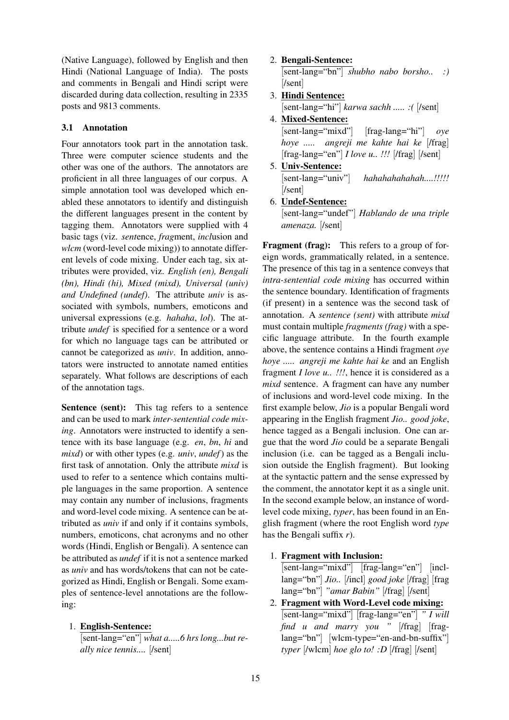(Native Language), followed by English and then Hindi (National Language of India). The posts and comments in Bengali and Hindi script were discarded during data collection, resulting in 2335 posts and 9813 comments.

### 3.1 Annotation

Four annotators took part in the annotation task. Three were computer science students and the other was one of the authors. The annotators are proficient in all three languages of our corpus. A simple annotation tool was developed which enabled these annotators to identify and distinguish the different languages present in the content by tagging them. Annotators were supplied with 4 basic tags (viz. *sent*ence, *frag*ment, *incl*usion and *wlcm* (word-level code mixing)) to annotate different levels of code mixing. Under each tag, six attributes were provided, viz. *English (en), Bengali (bn), Hindi (hi), Mixed (mixd), Universal (univ) and Undefined (undef)*. The attribute *univ* is associated with symbols, numbers, emoticons and universal expressions (e.g. *hahaha*, *lol*). The attribute *undef* is specified for a sentence or a word for which no language tags can be attributed or cannot be categorized as *univ*. In addition, annotators were instructed to annotate named entities separately. What follows are descriptions of each of the annotation tags.

Sentence (sent): This tag refers to a sentence and can be used to mark *inter-sentential code mixing*. Annotators were instructed to identify a sentence with its base language (e.g. *en*, *bn*, *hi* and *mixd*) or with other types (e.g. *univ*, *undef*) as the first task of annotation. Only the attribute *mixd* is used to refer to a sentence which contains multiple languages in the same proportion. A sentence may contain any number of inclusions, fragments and word-level code mixing. A sentence can be attributed as *univ* if and only if it contains symbols, numbers, emoticons, chat acronyms and no other words (Hindi, English or Bengali). A sentence can be attributed as *undef* if it is not a sentence marked as *univ* and has words/tokens that can not be categorized as Hindi, English or Bengali. Some examples of sentence-level annotations are the following:

# 1. English-Sentence:

[sent-lang="en"] *what a.....6 hrs long...but really nice tennis....* [/sent]

2. Bengali-Sentence:

[sent-lang="bn"] *shubho nabo borsho.. :)* [/sent]

- 3. Hindi Sentence: [sent-lang="hi"] *karwa sachh ..... :(* [/sent]
- 4. Mixed-Sentence: [sent-lang="mixd"] [frag-lang="hi"] *oye hoye ..... angreji me kahte hai ke* [/frag] [frag-lang="en"] *I love u.. !!!* [/frag] [/sent]
- 5. Univ-Sentence: [sent-lang="univ"] *hahahahahahah....!!!!!* [/sent]
- 6. Undef-Sentence: [sent-lang="undef"] *Hablando de una triple*

*amenaza.* [/sent]

Fragment (frag): This refers to a group of foreign words, grammatically related, in a sentence. The presence of this tag in a sentence conveys that *intra-sentential code mixing* has occurred within the sentence boundary. Identification of fragments (if present) in a sentence was the second task of annotation. A *sentence (sent)* with attribute *mixd* must contain multiple *fragments (frag)* with a specific language attribute. In the fourth example above, the sentence contains a Hindi fragment *oye hoye ..... angreji me kahte hai ke* and an English fragment *I love u.. !!!*, hence it is considered as a *mixd* sentence. A fragment can have any number of inclusions and word-level code mixing. In the first example below, *Jio* is a popular Bengali word appearing in the English fragment *Jio.. good joke*, hence tagged as a Bengali inclusion. One can argue that the word *Jio* could be a separate Bengali inclusion (i.e. can be tagged as a Bengali inclusion outside the English fragment). But looking at the syntactic pattern and the sense expressed by the comment, the annotator kept it as a single unit. In the second example below, an instance of wordlevel code mixing, *typer*, has been found in an English fragment (where the root English word *type* has the Bengali suffix *r*).

1. Fragment with Inclusion:

[sent-lang="mixd"] [frag-lang="en"] [incllang="bn"] *Jio..* [/incl] *good joke* [/frag] [frag lang="bn"] *"amar Babin"* [/frag] [/sent]

2. Fragment with Word-Level code mixing: [sent-lang="mixd"] [frag-lang="en"] *" I will find u and marry you "* [/frag] [fraglang="bn"] [wlcm-type="en-and-bn-suffix"] *typer* [/wlcm] *hoe glo to! :D* [/frag] [/sent]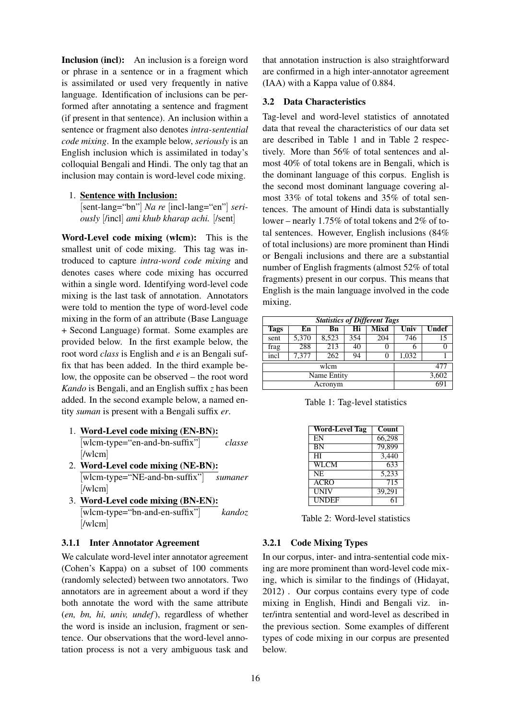Inclusion (incl): An inclusion is a foreign word or phrase in a sentence or in a fragment which is assimilated or used very frequently in native language. Identification of inclusions can be performed after annotating a sentence and fragment (if present in that sentence). An inclusion within a sentence or fragment also denotes *intra-sentential code mixing*. In the example below, *seriously* is an English inclusion which is assimilated in today's colloquial Bengali and Hindi. The only tag that an inclusion may contain is word-level code mixing.

#### 1. Sentence with Inclusion:

[sent-lang="bn"] *Na re* [incl-lang="en"] *seriously* [/incl] *ami khub kharap achi.* [/sent]

Word-Level code mixing (wlcm): This is the smallest unit of code mixing. This tag was introduced to capture *intra-word code mixing* and denotes cases where code mixing has occurred within a single word. Identifying word-level code mixing is the last task of annotation. Annotators were told to mention the type of word-level code mixing in the form of an attribute (Base Language + Second Language) format. Some examples are provided below. In the first example below, the root word *class* is English and *e* is an Bengali suffix that has been added. In the third example below, the opposite can be observed – the root word *Kando* is Bengali, and an English suffix *z* has been added. In the second example below, a named entity *suman* is present with a Bengali suffix *er*.

- 1. Word-Level code mixing (EN-BN): [wlcm-type="en-and-bn-suffix"] *classe* [/wlcm]
- 2. Word-Level code mixing (NE-BN): [wlcm-type="NE-and-bn-suffix"] *sumaner* [/wlcm]
- 3. Word-Level code mixing (BN-EN): [wlcm-type="bn-and-en-suffix"] *kandoz* [/wlcm]

#### 3.1.1 Inter Annotator Agreement

We calculate word-level inter annotator agreement (Cohen's Kappa) on a subset of 100 comments (randomly selected) between two annotators. Two annotators are in agreement about a word if they both annotate the word with the same attribute (*en, bn, hi, univ, undef*), regardless of whether the word is inside an inclusion, fragment or sentence. Our observations that the word-level annotation process is not a very ambiguous task and that annotation instruction is also straightforward are confirmed in a high inter-annotator agreement (IAA) with a Kappa value of 0.884.

#### 3.2 Data Characteristics

Tag-level and word-level statistics of annotated data that reveal the characteristics of our data set are described in Table 1 and in Table 2 respectively. More than 56% of total sentences and almost 40% of total tokens are in Bengali, which is the dominant language of this corpus. English is the second most dominant language covering almost 33% of total tokens and 35% of total sentences. The amount of Hindi data is substantially lower – nearly 1.75% of total tokens and 2% of total sentences. However, English inclusions (84% of total inclusions) are more prominent than Hindi or Bengali inclusions and there are a substantial number of English fragments (almost 52% of total fragments) present in our corpus. This means that English is the main language involved in the code mixing.

| <b>Statistics of Different Tags</b> |             |       |       |      |       |       |  |
|-------------------------------------|-------------|-------|-------|------|-------|-------|--|
| <b>Tags</b>                         | Еn          | Bn    | Hi    | Mixd | Univ  | Undef |  |
| sent                                | 5,370       | 8,523 | 354   | 204  | 746   | 15    |  |
| frag                                | 288         | 213   | 40    | 0    | O     | 0     |  |
| incl                                | 7,377       | 262   | 94    | O    | 1,032 |       |  |
|                                     |             |       | 477   |      |       |       |  |
|                                     | Name Entity |       | 3,602 |      |       |       |  |
|                                     | Acronym     |       | 691   |      |       |       |  |

Table 1: Tag-level statistics

| <b>Word-Level Tag</b> | Count  |
|-----------------------|--------|
| EN                    | 66,298 |
| <b>BN</b>             | 79,899 |
| HI                    | 3,440  |
| <b>WLCM</b>           | 633    |
| <b>NE</b>             | 5,233  |
| <b>ACRO</b>           | 715    |
| <b>UNIV</b>           | 39,291 |
| <b>UNDEF</b>          |        |

Table 2: Word-level statistics

### 3.2.1 Code Mixing Types

In our corpus, inter- and intra-sentential code mixing are more prominent than word-level code mixing, which is similar to the findings of (Hidayat, 2012) . Our corpus contains every type of code mixing in English, Hindi and Bengali viz. inter/intra sentential and word-level as described in the previous section. Some examples of different types of code mixing in our corpus are presented below.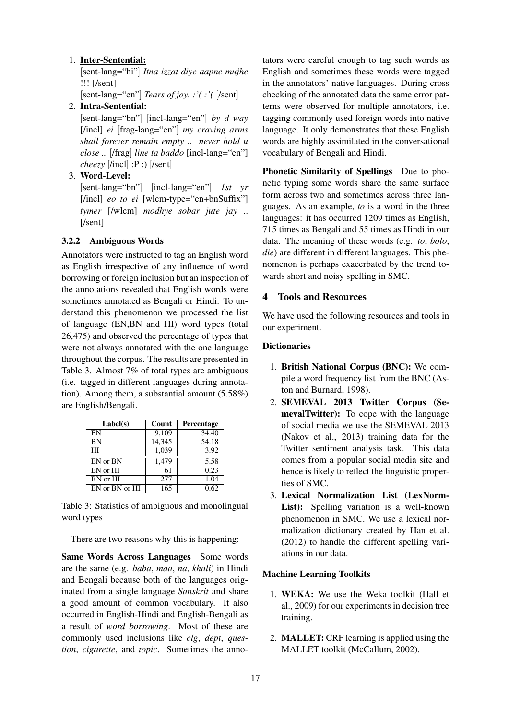### 1. Inter-Sentential:

[sent-lang="hi"] *Itna izzat diye aapne mujhe* !!! [/sent]

[sent-lang="en"] *Tears of joy. :'( :'(* [/sent]

2. Intra-Sentential:

[sent-lang="bn"] [incl-lang="en"] *by d way* [/incl] *ei* [frag-lang="en"] *my craving arms shall forever remain empty .. never hold u close ..* [/frag] *line ta baddo* [incl-lang="en"] *cheezy* [/incl] :P ;) [/sent]

# 3. Word-Level:

[sent-lang="bn"] [incl-lang="en"] *1st yr* [/incl] *eo to ei* [wlcm-type="en+bnSuffix"] *tymer* [/wlcm] *modhye sobar jute jay* .. [/sent]

### 3.2.2 Ambiguous Words

Annotators were instructed to tag an English word as English irrespective of any influence of word borrowing or foreign inclusion but an inspection of the annotations revealed that English words were sometimes annotated as Bengali or Hindi. To understand this phenomenon we processed the list of language (EN,BN and HI) word types (total 26,475) and observed the percentage of types that were not always annotated with the one language throughout the corpus. The results are presented in Table 3. Almost 7% of total types are ambiguous (i.e. tagged in different languages during annotation). Among them, a substantial amount (5.58%) are English/Bengali.

| Label(s)       | Count  | Percentage        |
|----------------|--------|-------------------|
| EN             | 9,109  | 34.40             |
| BN             | 14,345 | 54.18             |
| HI             | 1,039  | $3.\overline{92}$ |
| EN or BN       | 1,479  | $5.\overline{58}$ |
| EN or HI       | 61     | 0.23              |
| BN or HI       | 277    | 1.04              |
| EN or BN or HI | 165    | 0.62              |

Table 3: Statistics of ambiguous and monolingual word types

There are two reasons why this is happening:

Same Words Across Languages Some words are the same (e.g. *baba*, *maa*, *na*, *khali*) in Hindi and Bengali because both of the languages originated from a single language *Sanskrit* and share a good amount of common vocabulary. It also occurred in English-Hindi and English-Bengali as a result of *word borrowing*. Most of these are commonly used inclusions like *clg*, *dept*, *question*, *cigarette*, and *topic*. Sometimes the anno-

tators were careful enough to tag such words as English and sometimes these words were tagged in the annotators' native languages. During cross checking of the annotated data the same error patterns were observed for multiple annotators, i.e. tagging commonly used foreign words into native language. It only demonstrates that these English words are highly assimilated in the conversational vocabulary of Bengali and Hindi.

Phonetic Similarity of Spellings Due to phonetic typing some words share the same surface form across two and sometimes across three languages. As an example, *to* is a word in the three languages: it has occurred 1209 times as English, 715 times as Bengali and 55 times as Hindi in our data. The meaning of these words (e.g. *to*, *bolo*, *die*) are different in different languages. This phenomenon is perhaps exacerbated by the trend towards short and noisy spelling in SMC.

### 4 Tools and Resources

We have used the following resources and tools in our experiment.

#### **Dictionaries**

- 1. British National Corpus (BNC): We compile a word frequency list from the BNC (Aston and Burnard, 1998).
- 2. SEMEVAL 2013 Twitter Corpus (SemevalTwitter): To cope with the language of social media we use the SEMEVAL 2013 (Nakov et al., 2013) training data for the Twitter sentiment analysis task. This data comes from a popular social media site and hence is likely to reflect the linguistic properties of SMC.
- 3. Lexical Normalization List (LexNorm-List): Spelling variation is a well-known phenomenon in SMC. We use a lexical normalization dictionary created by Han et al. (2012) to handle the different spelling variations in our data.

#### Machine Learning Toolkits

- 1. WEKA: We use the Weka toolkit (Hall et al., 2009) for our experiments in decision tree training.
- 2. MALLET: CRF learning is applied using the MALLET toolkit (McCallum, 2002).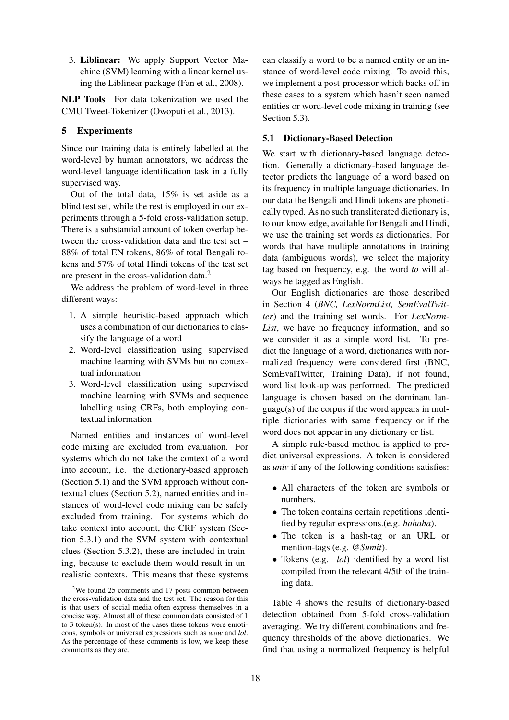3. Liblinear: We apply Support Vector Machine (SVM) learning with a linear kernel using the Liblinear package (Fan et al., 2008).

NLP Tools For data tokenization we used the CMU Tweet-Tokenizer (Owoputi et al., 2013).

# 5 Experiments

Since our training data is entirely labelled at the word-level by human annotators, we address the word-level language identification task in a fully supervised way.

Out of the total data, 15% is set aside as a blind test set, while the rest is employed in our experiments through a 5-fold cross-validation setup. There is a substantial amount of token overlap between the cross-validation data and the test set – 88% of total EN tokens, 86% of total Bengali tokens and 57% of total Hindi tokens of the test set are present in the cross-validation data.<sup>2</sup>

We address the problem of word-level in three different ways:

- 1. A simple heuristic-based approach which uses a combination of our dictionaries to classify the language of a word
- 2. Word-level classification using supervised machine learning with SVMs but no contextual information
- 3. Word-level classification using supervised machine learning with SVMs and sequence labelling using CRFs, both employing contextual information

Named entities and instances of word-level code mixing are excluded from evaluation. For systems which do not take the context of a word into account, i.e. the dictionary-based approach (Section 5.1) and the SVM approach without contextual clues (Section 5.2), named entities and instances of word-level code mixing can be safely excluded from training. For systems which do take context into account, the CRF system (Section 5.3.1) and the SVM system with contextual clues (Section 5.3.2), these are included in training, because to exclude them would result in unrealistic contexts. This means that these systems

can classify a word to be a named entity or an instance of word-level code mixing. To avoid this, we implement a post-processor which backs off in these cases to a system which hasn't seen named entities or word-level code mixing in training (see Section 5.3).

### 5.1 Dictionary-Based Detection

We start with dictionary-based language detection. Generally a dictionary-based language detector predicts the language of a word based on its frequency in multiple language dictionaries. In our data the Bengali and Hindi tokens are phonetically typed. As no such transliterated dictionary is, to our knowledge, available for Bengali and Hindi, we use the training set words as dictionaries. For words that have multiple annotations in training data (ambiguous words), we select the majority tag based on frequency, e.g. the word *to* will always be tagged as English.

Our English dictionaries are those described in Section 4 (*BNC, LexNormList, SemEvalTwitter*) and the training set words. For *LexNorm-List*, we have no frequency information, and so we consider it as a simple word list. To predict the language of a word, dictionaries with normalized frequency were considered first (BNC, SemEvalTwitter, Training Data), if not found, word list look-up was performed. The predicted language is chosen based on the dominant language(s) of the corpus if the word appears in multiple dictionaries with same frequency or if the word does not appear in any dictionary or list.

A simple rule-based method is applied to predict universal expressions. A token is considered as *univ* if any of the following conditions satisfies:

- All characters of the token are symbols or numbers.
- The token contains certain repetitions identified by regular expressions.(e.g. *hahaha*).
- The token is a hash-tag or an URL or mention-tags (e.g. *@Sumit*).
- Tokens (e.g. *lol*) identified by a word list compiled from the relevant 4/5th of the training data.

Table 4 shows the results of dictionary-based detection obtained from 5-fold cross-validation averaging. We try different combinations and frequency thresholds of the above dictionaries. We find that using a normalized frequency is helpful

 $2$ We found 25 comments and 17 posts common between the cross-validation data and the test set. The reason for this is that users of social media often express themselves in a concise way. Almost all of these common data consisted of 1 to 3 token(s). In most of the cases these tokens were emoticons, symbols or universal expressions such as *wow* and *lol*. As the percentage of these comments is low, we keep these comments as they are.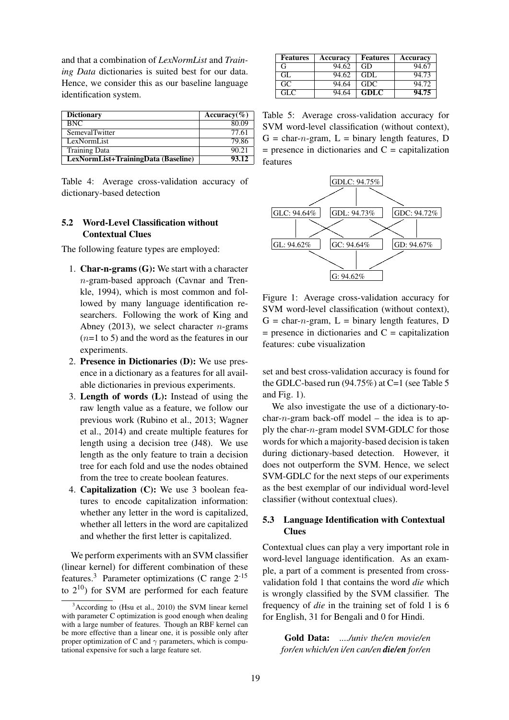and that a combination of *LexNormList* and *Training Data* dictionaries is suited best for our data. Hence, we consider this as our baseline language identification system.

| <b>Dictionary</b>                   | Accuracy $(\% )$ |
|-------------------------------------|------------------|
| <b>BNC</b>                          | 80.09            |
| SemevalTwitter                      | 77.61            |
| LexNormList                         | 79.86            |
| <b>Training Data</b>                | 90.21            |
| LexNormList+TrainingData (Baseline) | 93.12            |

Table 4: Average cross-validation accuracy of dictionary-based detection

### 5.2 Word-Level Classification without Contextual Clues

The following feature types are employed:

- 1. Char-n-grams (G): We start with a character n-gram-based approach (Cavnar and Trenkle, 1994), which is most common and followed by many language identification researchers. Following the work of King and Abney (2013), we select character *n*-grams  $(n=1 \text{ to } 5)$  and the word as the features in our experiments.
- 2. Presence in Dictionaries (D): We use presence in a dictionary as a features for all available dictionaries in previous experiments.
- 3. Length of words (L): Instead of using the raw length value as a feature, we follow our previous work (Rubino et al., 2013; Wagner et al., 2014) and create multiple features for length using a decision tree (J48). We use length as the only feature to train a decision tree for each fold and use the nodes obtained from the tree to create boolean features.
- 4. Capitalization (C): We use 3 boolean features to encode capitalization information: whether any letter in the word is capitalized, whether all letters in the word are capitalized and whether the first letter is capitalized.

We perform experiments with an SVM classifier (linear kernel) for different combination of these features.<sup>3</sup> Parameter optimizations (C range  $2^{-15}$ ) to  $2^{10}$ ) for SVM are performed for each feature

| <b>Features</b> | Accuracy | <b>Features</b> | Accuracy |
|-----------------|----------|-----------------|----------|
| G               | 94.62    | GD              | 94.67    |
| GL.             | 94.62    | GDL             | 94.73    |
| GC              | 94.64    | <b>GDC</b>      | 94.72    |
| GL C            | 94.64    | <b>GDLC</b>     | 94.75    |

Table 5: Average cross-validation accuracy for SVM word-level classification (without context),  $G = char-n-gram$ ,  $L = binary length features, D$  $=$  presence in dictionaries and  $C =$  capitalization features



Figure 1: Average cross-validation accuracy for SVM word-level classification (without context),  $G = char-n-gram$ ,  $L = binary length features, D$  $=$  presence in dictionaries and  $C =$  capitalization features: cube visualization

set and best cross-validation accuracy is found for the GDLC-based run (94.75%) at C=1 (see Table 5 and Fig. 1).

We also investigate the use of a dictionary-tochar-n-gram back-off model – the idea is to apply the char-n-gram model SVM-GDLC for those words for which a majority-based decision is taken during dictionary-based detection. However, it does not outperform the SVM. Hence, we select SVM-GDLC for the next steps of our experiments as the best exemplar of our individual word-level classifier (without contextual clues).

### 5.3 Language Identification with Contextual **Clues**

Contextual clues can play a very important role in word-level language identification. As an example, a part of a comment is presented from crossvalidation fold 1 that contains the word *die* which is wrongly classified by the SVM classifier. The frequency of *die* in the training set of fold 1 is 6 for English, 31 for Bengali and 0 for Hindi.

Gold Data: *..../univ the/en movie/en for/en which/en i/en can/en die/en for/en*

 $3$ According to (Hsu et al., 2010) the SVM linear kernel with parameter C optimization is good enough when dealing with a large number of features. Though an RBF kernel can be more effective than a linear one, it is possible only after proper optimization of C and  $\gamma$  parameters, which is computational expensive for such a large feature set.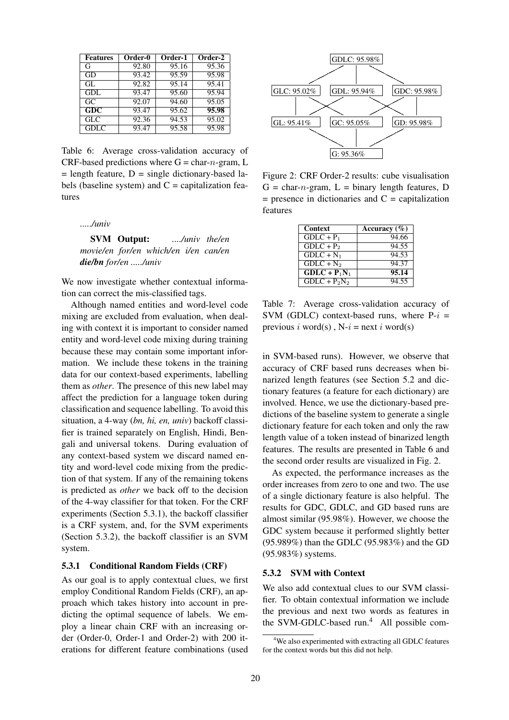| <b>Features</b> | Order-0 | Order-1 | Order-2 |
|-----------------|---------|---------|---------|
| G               | 92.80   | 95.16   | 95.36   |
| GD              | 93.42   | 95.59   | 95.98   |
| GL.             | 92.82   | 95.14   | 95.41   |
| GDL             | 93.47   | 95.60   | 95.94   |
| GC              | 92.07   | 94.60   | 95.05   |
| GDC             | 93.47   | 95.62   | 95.98   |
| <b>GLC</b>      | 92.36   | 94.53   | 95.02   |
| <b>GDLC</b>     | 93.47   | 95.58   | 95.98   |

Table 6: Average cross-validation accuracy of CRF-based predictions where  $G = char-n-gram$ , L  $=$  length feature,  $D =$  single dictionary-based labels (baseline system) and  $C =$  capitalization features

*...../univ*

SVM Output: *..../univ the/en movie/en for/en which/en i/en can/en die/bn for/en ...../univ*

We now investigate whether contextual information can correct the mis-classified tags.

Although named entities and word-level code mixing are excluded from evaluation, when dealing with context it is important to consider named entity and word-level code mixing during training because these may contain some important information. We include these tokens in the training data for our context-based experiments, labelling them as *other*. The presence of this new label may affect the prediction for a language token during classification and sequence labelling. To avoid this situation, a 4-way (*bn, hi, en, univ*) backoff classifier is trained separately on English, Hindi, Bengali and universal tokens. During evaluation of any context-based system we discard named entity and word-level code mixing from the prediction of that system. If any of the remaining tokens is predicted as *other* we back off to the decision of the 4-way classifier for that token. For the CRF experiments (Section 5.3.1), the backoff classifier is a CRF system, and, for the SVM experiments (Section 5.3.2), the backoff classifier is an SVM system.

#### 5.3.1 Conditional Random Fields (CRF)

As our goal is to apply contextual clues, we first employ Conditional Random Fields (CRF), an approach which takes history into account in predicting the optimal sequence of labels. We employ a linear chain CRF with an increasing order (Order-0, Order-1 and Order-2) with 200 iterations for different feature combinations (used



Figure 2: CRF Order-2 results: cube visualisation  $G = char-n-gram$ ,  $L = binary length features, D$  $=$  presence in dictionaries and  $C =$  capitalization features

| <b>Context</b>  | Accuracy $(\% )$ |
|-----------------|------------------|
| $GDLC + P_1$    | 94.66            |
| $GDLC + P_2$    | 94.55            |
| $GDLC + N_1$    | 94.53            |
| $GDLC + N2$     | 94.37            |
| $GDLC + P1N1$   | 95.14            |
| $GDLC + P_2N_2$ | 94.55            |

Table 7: Average cross-validation accuracy of SVM (GDLC) context-based runs, where  $P-i =$ previous i word(s),  $N-i = next i$  word(s)

in SVM-based runs). However, we observe that accuracy of CRF based runs decreases when binarized length features (see Section 5.2 and dictionary features (a feature for each dictionary) are involved. Hence, we use the dictionary-based predictions of the baseline system to generate a single dictionary feature for each token and only the raw length value of a token instead of binarized length features. The results are presented in Table 6 and the second order results are visualized in Fig. 2.

As expected, the performance increases as the order increases from zero to one and two. The use of a single dictionary feature is also helpful. The results for GDC, GDLC, and GD based runs are almost similar (95.98%). However, we choose the GDC system because it performed slightly better (95.989%) than the GDLC (95.983%) and the GD (95.983%) systems.

#### 5.3.2 SVM with Context

We also add contextual clues to our SVM classifier. To obtain contextual information we include the previous and next two words as features in the SVM-GDLC-based run. $4$  All possible com-

<sup>&</sup>lt;sup>4</sup>We also experimented with extracting all GDLC features for the context words but this did not help.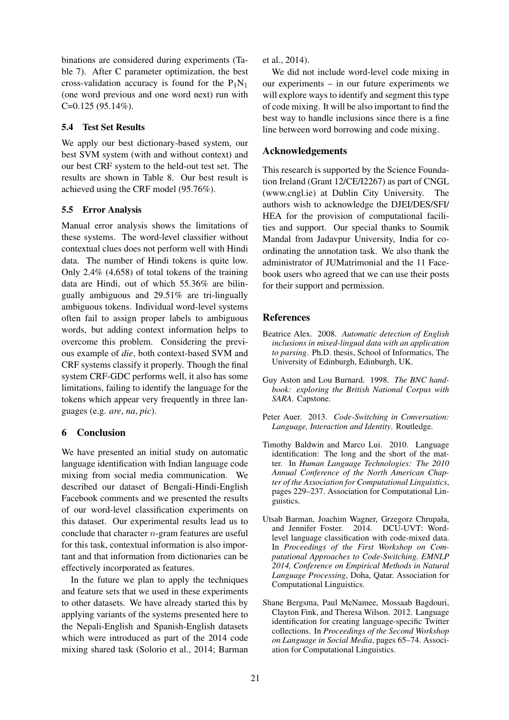binations are considered during experiments (Table 7). After C parameter optimization, the best cross-validation accuracy is found for the  $P_1N_1$ (one word previous and one word next) run with C=0.125 (95.14%).

# 5.4 Test Set Results

We apply our best dictionary-based system, our best SVM system (with and without context) and our best CRF system to the held-out test set. The results are shown in Table 8. Our best result is achieved using the CRF model (95.76%).

# 5.5 Error Analysis

Manual error analysis shows the limitations of these systems. The word-level classifier without contextual clues does not perform well with Hindi data. The number of Hindi tokens is quite low. Only 2.4% (4,658) of total tokens of the training data are Hindi, out of which 55.36% are bilingually ambiguous and 29.51% are tri-lingually ambiguous tokens. Individual word-level systems often fail to assign proper labels to ambiguous words, but adding context information helps to overcome this problem. Considering the previous example of *die*, both context-based SVM and CRF systems classify it properly. Though the final system CRF-GDC performs well, it also has some limitations, failing to identify the language for the tokens which appear very frequently in three languages (e.g. *are*, *na*, *pic*).

# 6 Conclusion

We have presented an initial study on automatic language identification with Indian language code mixing from social media communication. We described our dataset of Bengali-Hindi-English Facebook comments and we presented the results of our word-level classification experiments on this dataset. Our experimental results lead us to conclude that character n-gram features are useful for this task, contextual information is also important and that information from dictionaries can be effectively incorporated as features.

In the future we plan to apply the techniques and feature sets that we used in these experiments to other datasets. We have already started this by applying variants of the systems presented here to the Nepali-English and Spanish-English datasets which were introduced as part of the 2014 code mixing shared task (Solorio et al., 2014; Barman et al., 2014).

We did not include word-level code mixing in our experiments – in our future experiments we will explore ways to identify and segment this type of code mixing. It will be also important to find the best way to handle inclusions since there is a fine line between word borrowing and code mixing.

# Acknowledgements

This research is supported by the Science Foundation Ireland (Grant 12/CE/I2267) as part of CNGL (www.cngl.ie) at Dublin City University. The authors wish to acknowledge the DJEI/DES/SFI/ HEA for the provision of computational facilities and support. Our special thanks to Soumik Mandal from Jadavpur University, India for coordinating the annotation task. We also thank the administrator of JUMatrimonial and the 11 Facebook users who agreed that we can use their posts for their support and permission.

# References

- Beatrice Alex. 2008. *Automatic detection of English inclusions in mixed-lingual data with an application to parsing*. Ph.D. thesis, School of Informatics, The University of Edinburgh, Edinburgh, UK.
- Guy Aston and Lou Burnard. 1998. *The BNC handbook: exploring the British National Corpus with SARA*. Capstone.
- Peter Auer. 2013. *Code-Switching in Conversation: Language, Interaction and Identity*. Routledge.
- Timothy Baldwin and Marco Lui. 2010. Language identification: The long and the short of the matter. In *Human Language Technologies: The 2010 Annual Conference of the North American Chapter of the Association for Computational Linguistics*, pages 229–237. Association for Computational Linguistics.
- Utsab Barman, Joachim Wagner, Grzegorz Chrupała, and Jennifer Foster. 2014. DCU-UVT: Wordlevel language classification with code-mixed data. In *Proceedings of the First Workshop on Computational Approaches to Code-Switching. EMNLP 2014, Conference on Empirical Methods in Natural Language Processing*, Doha, Qatar. Association for Computational Linguistics.
- Shane Bergsma, Paul McNamee, Mossaab Bagdouri, Clayton Fink, and Theresa Wilson. 2012. Language identification for creating language-specific Twitter collections. In *Proceedings of the Second Workshop on Language in Social Media*, pages 65–74. Association for Computational Linguistics.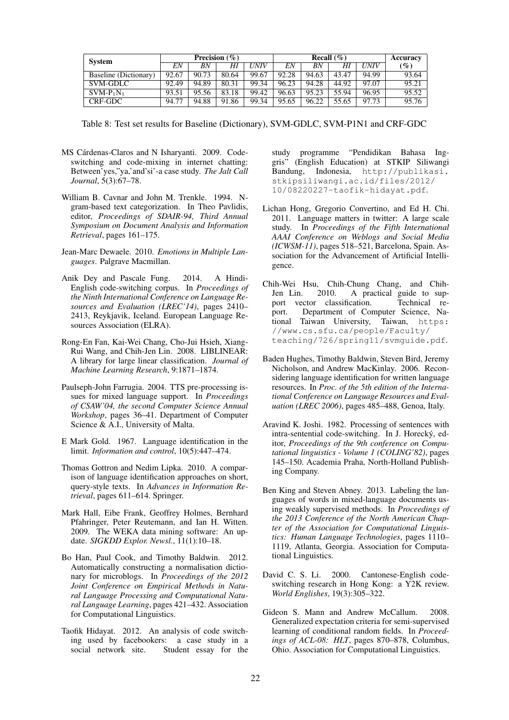| <b>System</b>         | Precision $(\% )$ |       |       | Recall $(\%)$ |       |       | Accuracy |             |        |
|-----------------------|-------------------|-------|-------|---------------|-------|-------|----------|-------------|--------|
|                       | EN                | BN    | HI    | UNIV          | EN    | BN    |          | <b>UNIV</b> | $(\%)$ |
| Baseline (Dictionary) | 92.67             | 90.73 | 80.64 | 99.67         | 92.28 | 94.63 | 43.47    | 94.99       | 93.64  |
| SVM-GDLC              | 92.49             | 94.89 | 80.31 | 99.34         | 96.23 | 94.28 | 44.92    | 97.07       | 95.21  |
| $SVM-P_1N_1$          | 93.51             | 95.56 | 83.18 | 99.42         | 96.63 | 95.23 | 55.94    | 96.95       | 95.52  |
| CRF-GDC               | 94.77             | 94.88 | 91.86 | 99.34         | 95.65 | 96.22 | 55.65    | 97.73       | 95.76  |

Table 8: Test set results for Baseline (Dictionary), SVM-GDLC, SVM-P1N1 and CRF-GDC

- MS Cárdenas-Claros and N Isharyanti. 2009. Codeswitching and code-mixing in internet chatting: Between'yes,"ya,'and'si'-a case study. *The Jalt Call Journal*, 5(3):67–78.
- William B. Cavnar and John M. Trenkle. 1994. Ngram-based text categorization. In Theo Pavlidis, editor, *Proceedings of SDAIR-94, Third Annual Symposium on Document Analysis and Information Retrieval*, pages 161–175.
- Jean-Marc Dewaele. 2010. *Emotions in Multiple Languages*. Palgrave Macmillan.
- Anik Dey and Pascale Fung. 2014. A Hindi-English code-switching corpus. In *Proceedings of the Ninth International Conference on Language Resources and Evaluation (LREC'14)*, pages 2410– 2413, Reykjavik, Iceland. European Language Resources Association (ELRA).
- Rong-En Fan, Kai-Wei Chang, Cho-Jui Hsieh, Xiang-Rui Wang, and Chih-Jen Lin. 2008. LIBLINEAR: A library for large linear classification. *Journal of Machine Learning Research*, 9:1871–1874.
- Paulseph-John Farrugia. 2004. TTS pre-processing issues for mixed language support. In *Proceedings of CSAW'04, the second Computer Science Annual Workshop*, pages 36–41. Department of Computer Science & A.I., University of Malta.
- E Mark Gold. 1967. Language identification in the limit. *Information and control*, 10(5):447–474.
- Thomas Gottron and Nedim Lipka. 2010. A comparison of language identification approaches on short, query-style texts. In *Advances in Information Retrieval*, pages 611–614. Springer.
- Mark Hall, Eibe Frank, Geoffrey Holmes, Bernhard Pfahringer, Peter Reutemann, and Ian H. Witten. 2009. The WEKA data mining software: An update. *SIGKDD Explor. Newsl.*, 11(1):10–18.
- Bo Han, Paul Cook, and Timothy Baldwin. 2012. Automatically constructing a normalisation dictionary for microblogs. In *Proceedings of the 2012 Joint Conference on Empirical Methods in Natural Language Processing and Computational Natural Language Learning*, pages 421–432. Association for Computational Linguistics.
- Taofik Hidayat. 2012. An analysis of code switching used by facebookers: a case study in a social network site. Student essay for the

study programme "Pendidikan Bahasa Inggris" (English Education) at STKIP Siliwangi Bandung, Indonesia, http://publikasi. stkipsiliwangi.ac.id/files/2012/ 10/08220227-taofik-hidayat.pdf.

- Lichan Hong, Gregorio Convertino, and Ed H. Chi. 2011. Language matters in twitter: A large scale study. In *Proceedings of the Fifth International AAAI Conference on Weblogs and Social Media (ICWSM-11)*, pages 518–521, Barcelona, Spain. Association for the Advancement of Artificial Intelligence.
- Chih-Wei Hsu, Chih-Chung Chang, and Chih-Jen Lin. 2010. A practical guide to support vector classification. Technical report vector classification. port. Department of Computer Science, National Taiwan University, Taiwan, https: //www.cs.sfu.ca/people/Faculty/ teaching/726/spring11/svmguide.pdf.
- Baden Hughes, Timothy Baldwin, Steven Bird, Jeremy Nicholson, and Andrew MacKinlay. 2006. Reconsidering language identification for written language resources. In *Proc. of the 5th edition of the International Conference on Language Resources and Evaluation (LREC 2006)*, pages 485–488, Genoa, Italy.
- Aravind K. Joshi. 1982. Processing of sentences with intra-sentential code-switching. In J. Horecký, editor, *Proceedings of the 9th conference on Computational linguistics - Volume 1 (COLING'82)*, pages 145–150. Academia Praha, North-Holland Publishing Company.
- Ben King and Steven Abney. 2013. Labeling the languages of words in mixed-language documents using weakly supervised methods. In *Proceedings of the 2013 Conference of the North American Chapter of the Association for Computational Linguistics: Human Language Technologies*, pages 1110– 1119, Atlanta, Georgia. Association for Computational Linguistics.
- David C. S. Li. 2000. Cantonese-English codeswitching research in Hong Kong: a Y2K review. *World Englishes*, 19(3):305–322.
- Gideon S. Mann and Andrew McCallum. 2008. Generalized expectation criteria for semi-supervised learning of conditional random fields. In *Proceedings of ACL-08: HLT*, pages 870–878, Columbus, Ohio. Association for Computational Linguistics.